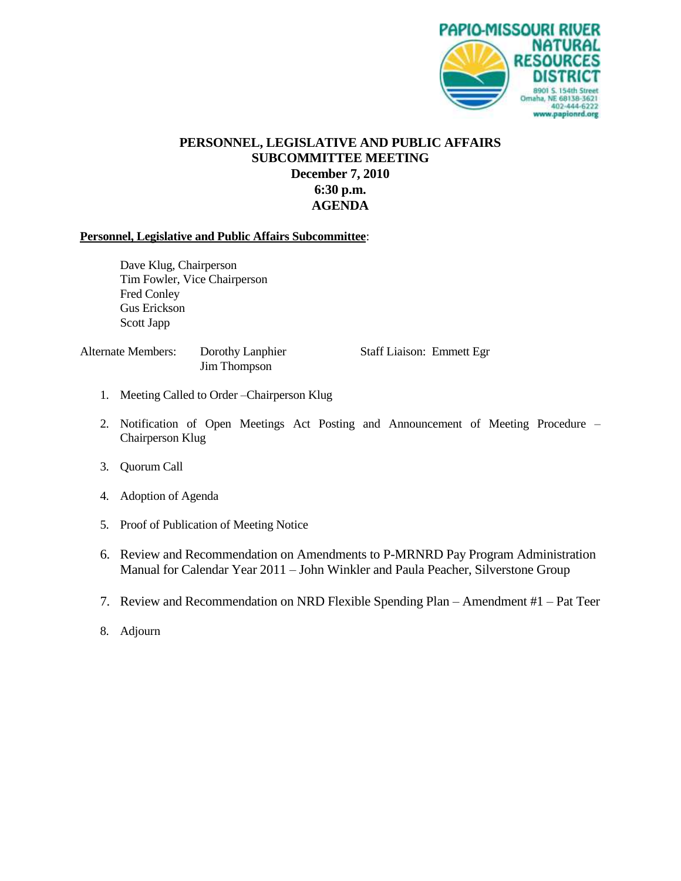

## **PERSONNEL, LEGISLATIVE AND PUBLIC AFFAIRS SUBCOMMITTEE MEETING December 7, 2010 6:30 p.m. AGENDA**

#### **Personnel, Legislative and Public Affairs Subcommittee**:

Dave Klug, Chairperson Tim Fowler, Vice Chairperson Fred Conley Gus Erickson Scott Japp

Jim Thompson

Alternate Members: Dorothy Lanphier Staff Liaison: Emmett Egr

- 1. Meeting Called to Order –Chairperson Klug
- 2. Notification of Open Meetings Act Posting and Announcement of Meeting Procedure Chairperson Klug
- 3. Quorum Call
- 4. Adoption of Agenda
- 5. Proof of Publication of Meeting Notice
- 6. Review and Recommendation on Amendments to P-MRNRD Pay Program Administration Manual for Calendar Year 2011 – John Winkler and Paula Peacher, Silverstone Group
- 7. Review and Recommendation on NRD Flexible Spending Plan Amendment #1 Pat Teer
- 8. Adjourn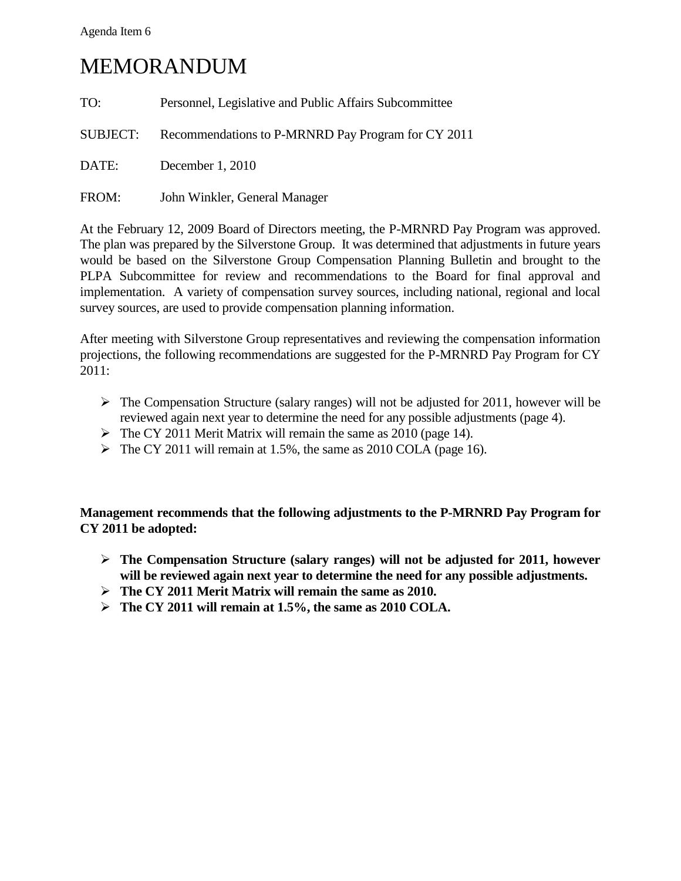### Agenda Item 6

## MEMORANDUM

| TO:      | Personnel, Legislative and Public Affairs Subcommittee |
|----------|--------------------------------------------------------|
| SUBJECT: | Recommendations to P-MRNRD Pay Program for CY 2011     |
| DATE:    | December 1, 2010                                       |
| FROM:    | John Winkler, General Manager                          |

At the February 12, 2009 Board of Directors meeting, the P-MRNRD Pay Program was approved. The plan was prepared by the Silverstone Group. It was determined that adjustments in future years would be based on the Silverstone Group Compensation Planning Bulletin and brought to the PLPA Subcommittee for review and recommendations to the Board for final approval and implementation. A variety of compensation survey sources, including national, regional and local survey sources, are used to provide compensation planning information.

After meeting with Silverstone Group representatives and reviewing the compensation information projections, the following recommendations are suggested for the P-MRNRD Pay Program for CY 2011:

- $\triangleright$  The Compensation Structure (salary ranges) will not be adjusted for 2011, however will be reviewed again next year to determine the need for any possible adjustments (page 4).
- $\triangleright$  The CY 2011 Merit Matrix will remain the same as 2010 (page 14).
- $\triangleright$  The CY 2011 will remain at 1.5%, the same as 2010 COLA (page 16).

**Management recommends that the following adjustments to the P-MRNRD Pay Program for CY 2011 be adopted:**

- **The Compensation Structure (salary ranges) will not be adjusted for 2011, however will be reviewed again next year to determine the need for any possible adjustments.**
- **The CY 2011 Merit Matrix will remain the same as 2010.**
- **The CY 2011 will remain at 1.5%, the same as 2010 COLA.**